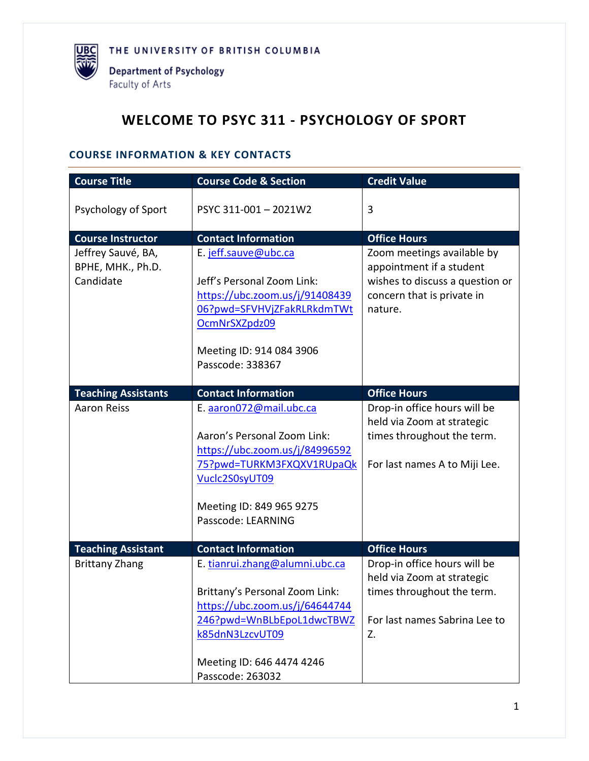

# **WELCOME TO PSYC 311 - PSYCHOLOGY OF SPORT**

# **COURSE INFORMATION & KEY CONTACTS**

| <b>Course Title</b>                                  | <b>Course Code &amp; Section</b>                                                                                                                                                                    | <b>Credit Value</b>                                                                                                                |
|------------------------------------------------------|-----------------------------------------------------------------------------------------------------------------------------------------------------------------------------------------------------|------------------------------------------------------------------------------------------------------------------------------------|
| Psychology of Sport                                  | PSYC 311-001-2021W2                                                                                                                                                                                 | 3                                                                                                                                  |
| <b>Course Instructor</b>                             | <b>Contact Information</b>                                                                                                                                                                          | <b>Office Hours</b>                                                                                                                |
| Jeffrey Sauvé, BA,<br>BPHE, MHK., Ph.D.<br>Candidate | E. jeff.sauve@ubc.ca<br>Jeff's Personal Zoom Link:<br>https://ubc.zoom.us/j/91408439<br>06?pwd=SFVHVjZFakRLRkdmTWt<br>OcmNrSXZpdz09<br>Meeting ID: 914 084 3906<br>Passcode: 338367                 | Zoom meetings available by<br>appointment if a student<br>wishes to discuss a question or<br>concern that is private in<br>nature. |
| <b>Teaching Assistants</b>                           | <b>Contact Information</b>                                                                                                                                                                          | <b>Office Hours</b>                                                                                                                |
| <b>Aaron Reiss</b>                                   | E. aaron072@mail.ubc.ca<br>Aaron's Personal Zoom Link:<br>https://ubc.zoom.us/j/84996592<br>75?pwd=TURKM3FXQXV1RUpaQk<br>Vuclc2S0syUT09<br>Meeting ID: 849 965 9275<br>Passcode: LEARNING           | Drop-in office hours will be<br>held via Zoom at strategic<br>times throughout the term.<br>For last names A to Miji Lee.          |
| <b>Teaching Assistant</b>                            | <b>Contact Information</b>                                                                                                                                                                          | <b>Office Hours</b>                                                                                                                |
| <b>Brittany Zhang</b>                                | E. tianrui.zhang@alumni.ubc.ca<br>Brittany's Personal Zoom Link:<br>https://ubc.zoom.us/j/64644744<br>246?pwd=WnBLbEpoL1dwcTBWZ<br>k85dnN3LzcvUT09<br>Meeting ID: 646 4474 4246<br>Passcode: 263032 | Drop-in office hours will be<br>held via Zoom at strategic<br>times throughout the term.<br>For last names Sabrina Lee to<br>Z.    |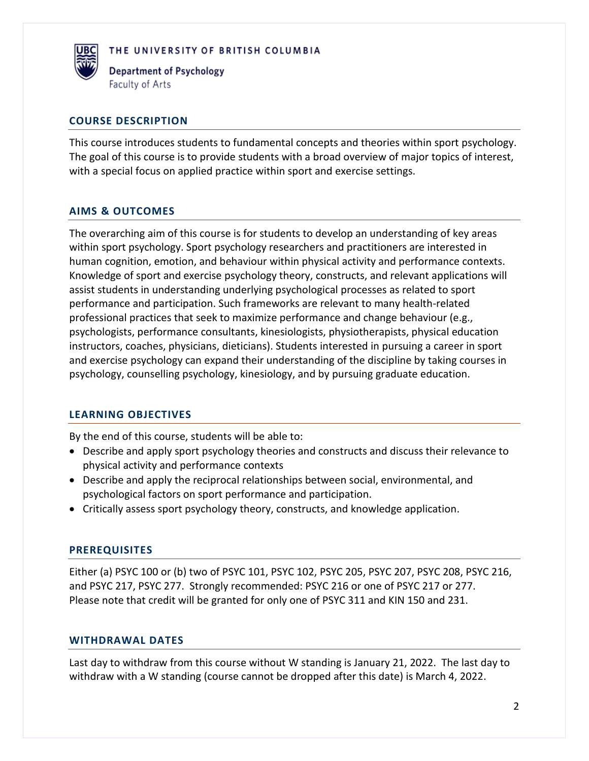

Department of Psychology Faculty of Arts

### **COURSE DESCRIPTION**

This course introduces students to fundamental concepts and theories within sport psychology. The goal of this course is to provide students with a broad overview of major topics of interest, with a special focus on applied practice within sport and exercise settings.

# **AIMS & OUTCOMES**

The overarching aim of this course is for students to develop an understanding of key areas within sport psychology. Sport psychology researchers and practitioners are interested in human cognition, emotion, and behaviour within physical activity and performance contexts. Knowledge of sport and exercise psychology theory, constructs, and relevant applications will assist students in understanding underlying psychological processes as related to sport performance and participation. Such frameworks are relevant to many health-related professional practices that seek to maximize performance and change behaviour (e.g., psychologists, performance consultants, kinesiologists, physiotherapists, physical education instructors, coaches, physicians, dieticians). Students interested in pursuing a career in sport and exercise psychology can expand their understanding of the discipline by taking courses in psychology, counselling psychology, kinesiology, and by pursuing graduate education.

# **LEARNING OBJECTIVES**

By the end of this course, students will be able to:

- Describe and apply sport psychology theories and constructs and discuss their relevance to physical activity and performance contexts
- Describe and apply the reciprocal relationships between social, environmental, and psychological factors on sport performance and participation.
- Critically assess sport psychology theory, constructs, and knowledge application.

### **PREREQUISITES**

Either (a) PSYC 100 or (b) two of PSYC 101, PSYC 102, PSYC 205, PSYC 207, PSYC 208, PSYC 216, and PSYC 217, PSYC 277. Strongly recommended: PSYC 216 or one of PSYC 217 or 277. Please note that credit will be granted for only one of PSYC 311 and KIN 150 and 231.

#### **WITHDRAWAL DATES**

Last day to withdraw from this course without W standing is January 21, 2022. The last day to withdraw with a W standing (course cannot be dropped after this date) is March 4, 2022.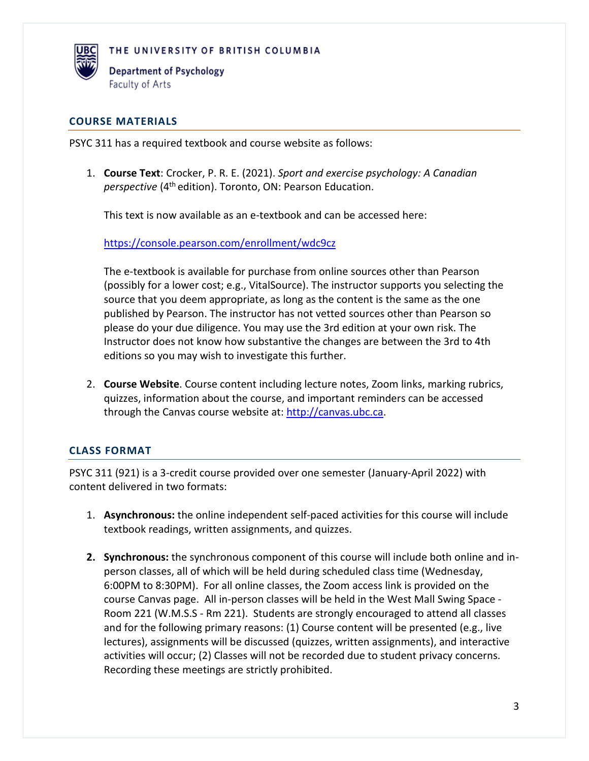

**Department of Psychology** Faculty of Arts

### **COURSE MATERIALS**

PSYC 311 has a required textbook and course website as follows:

1. **Course Text**: Crocker, P. R. E. (2021). *Sport and exercise psychology: A Canadian perspective* (4<sup>th</sup> edition). Toronto, ON: Pearson Education.

This text is now available as an e-textbook and can be accessed here:

<https://console.pearson.com/enrollment/wdc9cz>

The e-textbook is available for purchase from online sources other than Pearson (possibly for a lower cost; e.g., VitalSource). The instructor supports you selecting the source that you deem appropriate, as long as the content is the same as the one published by Pearson. The instructor has not vetted sources other than Pearson so please do your due diligence. You may use the 3rd edition at your own risk. The Instructor does not know how substantive the changes are between the 3rd to 4th editions so you may wish to investigate this further.

2. **Course Website**. Course content including lecture notes, Zoom links, marking rubrics, quizzes, information about the course, and important reminders can be accessed through the Canvas course website at: [http://canvas.ubc.ca.](http://canvas.ubc.ca/)

# **CLASS FORMAT**

PSYC 311 (921) is a 3-credit course provided over one semester (January-April 2022) with content delivered in two formats:

- 1. **Asynchronous:** the online independent self-paced activities for this course will include textbook readings, written assignments, and quizzes.
- **2. Synchronous:** the synchronous component of this course will include both online and inperson classes, all of which will be held during scheduled class time (Wednesday, 6:00PM to 8:30PM). For all online classes, the Zoom access link is provided on the course Canvas page. All in-person classes will be held in the West Mall Swing Space - Room 221 (W.M.S.S - Rm 221). Students are strongly encouraged to attend all classes and for the following primary reasons: (1) Course content will be presented (e.g., live lectures), assignments will be discussed (quizzes, written assignments), and interactive activities will occur; (2) Classes will not be recorded due to student privacy concerns. Recording these meetings are strictly prohibited.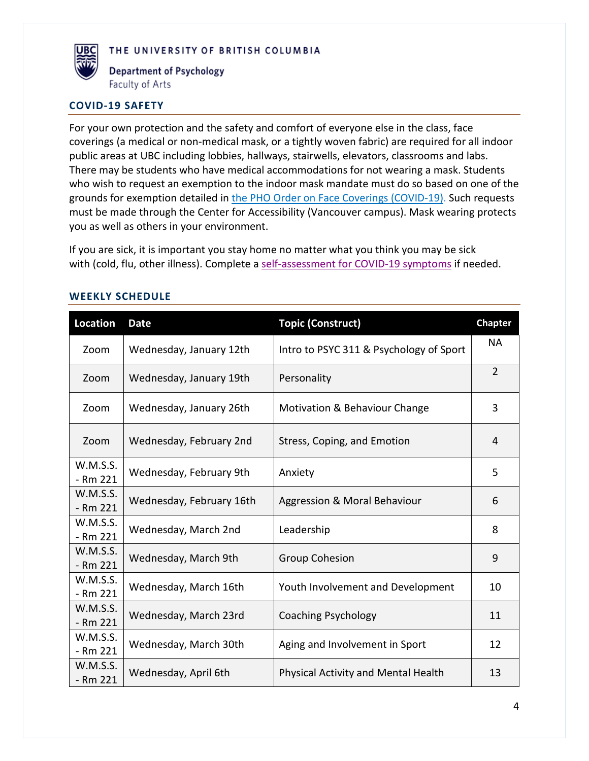

**Department of Psychology** Faculty of Arts

#### **COVID-19 SAFETY**

For your own protection and the safety and comfort of everyone else in the class, face coverings (a medical or non-medical mask, or a tightly woven fabric) are required for all indoor public areas at UBC including lobbies, hallways, stairwells, elevators, classrooms and labs. There may be students who have medical accommodations for not wearing a mask. Students who wish to request an exemption to the indoor mask mandate must do so based on one of the grounds for exemption detailed in [the PHO Order on Face Coverings \(COVID-19\).](https://www2.gov.bc.ca/assets/gov/health/about-bc-s-health-care-system/office-of-the-provincial-health-officer/covid-19/covid-19-pho-order-face-coverings.pdf) Such requests must be made through the Center for Accessibility (Vancouver campus). Mask wearing protects you as well as others in your environment.

If you are sick, it is important you stay home no matter what you think you may be sick with (cold, flu, other illness). Complete a [self-assessment for COVID-19 symptoms](https://bc.thrive.health/covid19/en) if needed.

| <b>Location</b>        | <b>Date</b>              | <b>Topic (Construct)</b>                | <b>Chapter</b> |
|------------------------|--------------------------|-----------------------------------------|----------------|
| Zoom                   | Wednesday, January 12th  | Intro to PSYC 311 & Psychology of Sport | <b>NA</b>      |
| Zoom                   | Wednesday, January 19th  | Personality                             | $\overline{2}$ |
| Zoom                   | Wednesday, January 26th  | Motivation & Behaviour Change           | 3              |
| Zoom                   | Wednesday, February 2nd  | Stress, Coping, and Emotion             | 4              |
| W.M.S.S.<br>$- Rm 221$ | Wednesday, February 9th  | Anxiety                                 | 5              |
| W.M.S.S.<br>- Rm 221   | Wednesday, February 16th | Aggression & Moral Behaviour            | 6              |
| W.M.S.S.<br>$-$ Rm 221 | Wednesday, March 2nd     | Leadership                              | 8              |
| W.M.S.S.<br>$- Rm 221$ | Wednesday, March 9th     | <b>Group Cohesion</b>                   | 9              |
| W.M.S.S.<br>- Rm 221   | Wednesday, March 16th    | Youth Involvement and Development       | 10             |
| W.M.S.S.<br>- Rm 221   | Wednesday, March 23rd    | <b>Coaching Psychology</b>              | 11             |
| W.M.S.S.<br>$-$ Rm 221 | Wednesday, March 30th    | Aging and Involvement in Sport          | 12             |
| W.M.S.S.<br>- Rm 221   | Wednesday, April 6th     | Physical Activity and Mental Health     | 13             |

#### **WEEKLY SCHEDULE**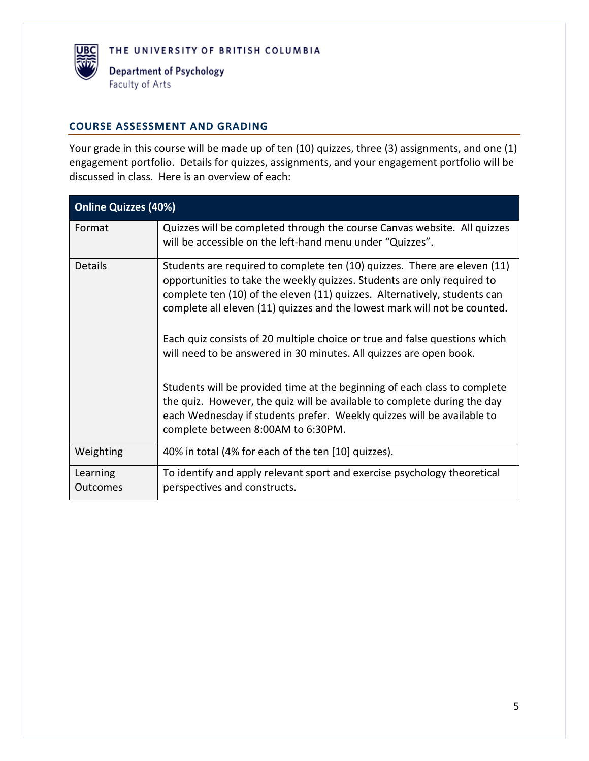

### **COURSE ASSESSMENT AND GRADING**

Your grade in this course will be made up of ten (10) quizzes, three (3) assignments, and one (1) engagement portfolio. Details for quizzes, assignments, and your engagement portfolio will be discussed in class. Here is an overview of each:

| <b>Online Quizzes (40%)</b> |                                                                                                                                                                                                                                                                                                                                                                                                                                                                                                                                                                                                                                                                                                                                             |  |  |
|-----------------------------|---------------------------------------------------------------------------------------------------------------------------------------------------------------------------------------------------------------------------------------------------------------------------------------------------------------------------------------------------------------------------------------------------------------------------------------------------------------------------------------------------------------------------------------------------------------------------------------------------------------------------------------------------------------------------------------------------------------------------------------------|--|--|
| Format                      | Quizzes will be completed through the course Canvas website. All quizzes<br>will be accessible on the left-hand menu under "Quizzes".                                                                                                                                                                                                                                                                                                                                                                                                                                                                                                                                                                                                       |  |  |
| <b>Details</b>              | Students are required to complete ten (10) quizzes. There are eleven (11)<br>opportunities to take the weekly quizzes. Students are only required to<br>complete ten (10) of the eleven (11) quizzes. Alternatively, students can<br>complete all eleven (11) quizzes and the lowest mark will not be counted.<br>Each quiz consists of 20 multiple choice or true and false questions which<br>will need to be answered in 30 minutes. All quizzes are open book.<br>Students will be provided time at the beginning of each class to complete<br>the quiz. However, the quiz will be available to complete during the day<br>each Wednesday if students prefer. Weekly quizzes will be available to<br>complete between 8:00AM to 6:30PM. |  |  |
| Weighting                   | 40% in total (4% for each of the ten [10] quizzes).                                                                                                                                                                                                                                                                                                                                                                                                                                                                                                                                                                                                                                                                                         |  |  |
| Learning<br>Outcomes        | To identify and apply relevant sport and exercise psychology theoretical<br>perspectives and constructs.                                                                                                                                                                                                                                                                                                                                                                                                                                                                                                                                                                                                                                    |  |  |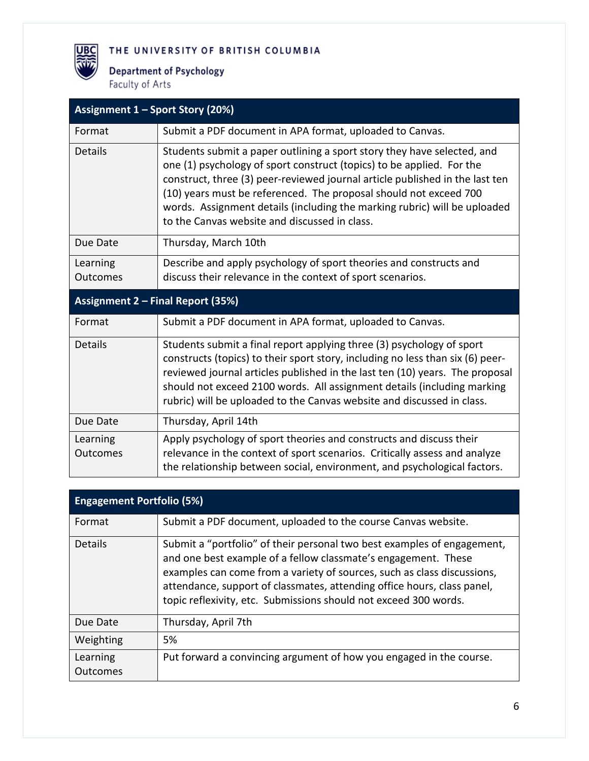**Department of Psychology** Faculty of Arts

麗

| Assignment 1 - Sport Story (20%)         |                                                                                                                                                                                                                                                                                                                                                                                                                                     |  |  |
|------------------------------------------|-------------------------------------------------------------------------------------------------------------------------------------------------------------------------------------------------------------------------------------------------------------------------------------------------------------------------------------------------------------------------------------------------------------------------------------|--|--|
| Format                                   | Submit a PDF document in APA format, uploaded to Canvas.                                                                                                                                                                                                                                                                                                                                                                            |  |  |
| Details                                  | Students submit a paper outlining a sport story they have selected, and<br>one (1) psychology of sport construct (topics) to be applied. For the<br>construct, three (3) peer-reviewed journal article published in the last ten<br>(10) years must be referenced. The proposal should not exceed 700<br>words. Assignment details (including the marking rubric) will be uploaded<br>to the Canvas website and discussed in class. |  |  |
| Due Date                                 | Thursday, March 10th                                                                                                                                                                                                                                                                                                                                                                                                                |  |  |
| Learning<br><b>Outcomes</b>              | Describe and apply psychology of sport theories and constructs and<br>discuss their relevance in the context of sport scenarios.                                                                                                                                                                                                                                                                                                    |  |  |
| <b>Assignment 2 - Final Report (35%)</b> |                                                                                                                                                                                                                                                                                                                                                                                                                                     |  |  |
| Format                                   | Submit a PDF document in APA format, uploaded to Canvas.                                                                                                                                                                                                                                                                                                                                                                            |  |  |
| <b>Details</b>                           | Students submit a final report applying three (3) psychology of sport<br>constructs (topics) to their sport story, including no less than six (6) peer-<br>reviewed journal articles published in the last ten (10) years. The proposal<br>should not exceed 2100 words. All assignment details (including marking<br>rubric) will be uploaded to the Canvas website and discussed in class.                                        |  |  |
| Due Date                                 | Thursday, April 14th                                                                                                                                                                                                                                                                                                                                                                                                                |  |  |
| Learning<br>Outcomes                     | Apply psychology of sport theories and constructs and discuss their<br>relevance in the context of sport scenarios. Critically assess and analyze<br>the relationship between social, environment, and psychological factors.                                                                                                                                                                                                       |  |  |

| <b>Engagement Portfolio (5%)</b> |                                                                                                                                                                                                                                                                                                                                                                     |  |  |
|----------------------------------|---------------------------------------------------------------------------------------------------------------------------------------------------------------------------------------------------------------------------------------------------------------------------------------------------------------------------------------------------------------------|--|--|
| Format                           | Submit a PDF document, uploaded to the course Canvas website.                                                                                                                                                                                                                                                                                                       |  |  |
| <b>Details</b>                   | Submit a "portfolio" of their personal two best examples of engagement,<br>and one best example of a fellow classmate's engagement. These<br>examples can come from a variety of sources, such as class discussions,<br>attendance, support of classmates, attending office hours, class panel,<br>topic reflexivity, etc. Submissions should not exceed 300 words. |  |  |
| Due Date                         | Thursday, April 7th                                                                                                                                                                                                                                                                                                                                                 |  |  |
| Weighting                        | 5%                                                                                                                                                                                                                                                                                                                                                                  |  |  |
| Learning<br><b>Outcomes</b>      | Put forward a convincing argument of how you engaged in the course.                                                                                                                                                                                                                                                                                                 |  |  |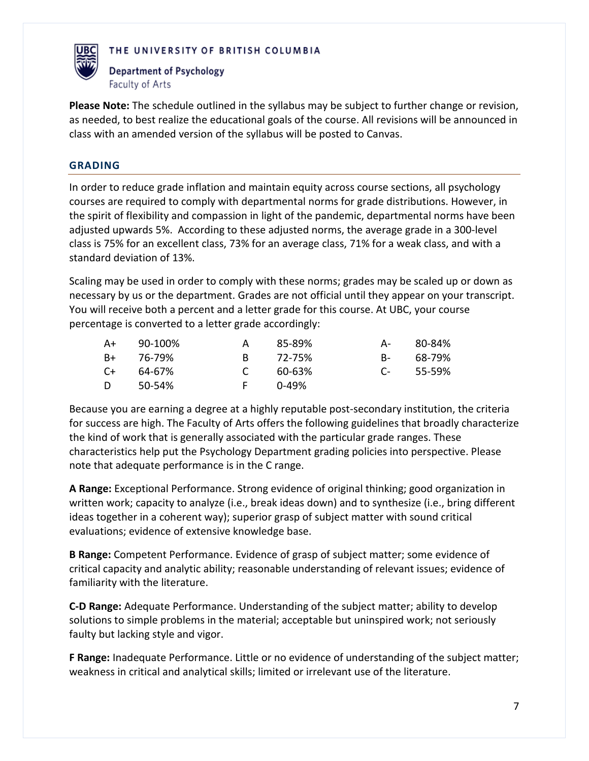

**Department of Psychology** Faculty of Arts

**Please Note:** The schedule outlined in the syllabus may be subject to further change or revision, as needed, to best realize the educational goals of the course. All revisions will be announced in class with an amended version of the syllabus will be posted to Canvas.

# **GRADING**

In order to reduce grade inflation and maintain equity across course sections, all psychology courses are required to comply with departmental norms for grade distributions. However, in the spirit of flexibility and compassion in light of the pandemic, departmental norms have been adjusted upwards 5%. According to these adjusted norms, the average grade in a 300-level class is 75% for an excellent class, 73% for an average class, 71% for a weak class, and with a standard deviation of 13%.

Scaling may be used in order to comply with these norms; grades may be scaled up or down as necessary by us or the department. Grades are not official until they appear on your transcript. You will receive both a percent and a letter grade for this course. At UBC, your course percentage is converted to a letter grade accordingly:

| $A+$ | 90-100% | A             | 85-89% | A- 1       | 80-84% |
|------|---------|---------------|--------|------------|--------|
| B+   | 76-79%  | R.            | 72-75% | <b>B</b> - | 68-79% |
| $C+$ | 64-67%  | $\mathcal{C}$ | 60-63% | $\Gamma$   | 55-59% |
| D    | 50-54%  | E.            | በ-49%  |            |        |

Because you are earning a degree at a highly reputable post-secondary institution, the criteria for success are high. The Faculty of Arts offers the following guidelines that broadly characterize the kind of work that is generally associated with the particular grade ranges. These characteristics help put the Psychology Department grading policies into perspective. Please note that adequate performance is in the C range.

**A Range:** Exceptional Performance. Strong evidence of original thinking; good organization in written work; capacity to analyze (i.e., break ideas down) and to synthesize (i.e., bring different ideas together in a coherent way); superior grasp of subject matter with sound critical evaluations; evidence of extensive knowledge base.

**B Range:** Competent Performance. Evidence of grasp of subject matter; some evidence of critical capacity and analytic ability; reasonable understanding of relevant issues; evidence of familiarity with the literature.

**C-D Range:** Adequate Performance. Understanding of the subject matter; ability to develop solutions to simple problems in the material; acceptable but uninspired work; not seriously faulty but lacking style and vigor.

**F Range:** Inadequate Performance. Little or no evidence of understanding of the subject matter; weakness in critical and analytical skills; limited or irrelevant use of the literature.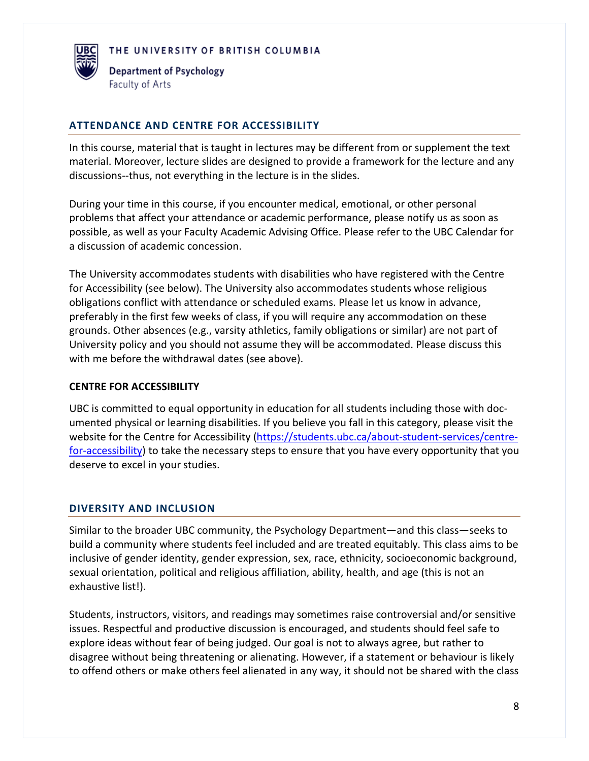

#### **ATTENDANCE AND CENTRE FOR ACCESSIBILITY**

In this course, material that is taught in lectures may be different from or supplement the text material. Moreover, lecture slides are designed to provide a framework for the lecture and any discussions--thus, not everything in the lecture is in the slides.

During your time in this course, if you encounter medical, emotional, or other personal problems that affect your attendance or academic performance, please notify us as soon as possible, as well as your Faculty Academic Advising Office. Please refer to the UBC Calendar for a discussion of academic concession.

The University accommodates students with disabilities who have registered with the Centre for Accessibility (see below). The University also accommodates students whose religious obligations conflict with attendance or scheduled exams. Please let us know in advance, preferably in the first few weeks of class, if you will require any accommodation on these grounds. Other absences (e.g., varsity athletics, family obligations or similar) are not part of University policy and you should not assume they will be accommodated. Please discuss this with me before the withdrawal dates (see above).

#### **CENTRE FOR ACCESSIBILITY**

UBC is committed to equal opportunity in education for all students including those with documented physical or learning disabilities. If you believe you fall in this category, please visit the website for the Centre for Accessibility [\(https://students.ubc.ca/about-student-services/centre](https://students.ubc.ca/about-student-services/centre-for-accessibility)[for-accessibility\)](https://students.ubc.ca/about-student-services/centre-for-accessibility) to take the necessary steps to ensure that you have every opportunity that you deserve to excel in your studies.

### **DIVERSITY AND INCLUSION**

Similar to the broader UBC community, the Psychology Department—and this class—seeks to build a community where students feel included and are treated equitably. This class aims to be inclusive of gender identity, gender expression, sex, race, ethnicity, socioeconomic background, sexual orientation, political and religious affiliation, ability, health, and age (this is not an exhaustive list!).

Students, instructors, visitors, and readings may sometimes raise controversial and/or sensitive issues. Respectful and productive discussion is encouraged, and students should feel safe to explore ideas without fear of being judged. Our goal is not to always agree, but rather to disagree without being threatening or alienating. However, if a statement or behaviour is likely to offend others or make others feel alienated in any way, it should not be shared with the class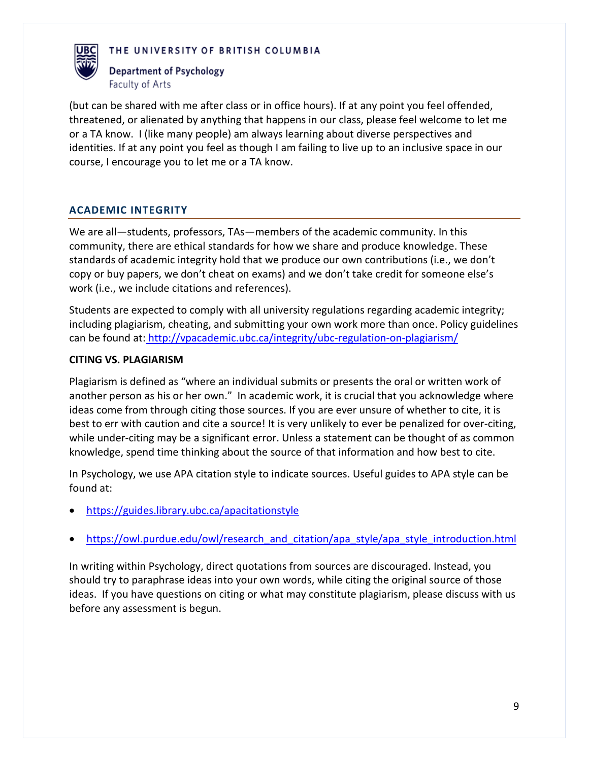



(but can be shared with me after class or in office hours). If at any point you feel offended, threatened, or alienated by anything that happens in our class, please feel welcome to let me or a TA know. I (like many people) am always learning about diverse perspectives and identities. If at any point you feel as though I am failing to live up to an inclusive space in our course, I encourage you to let me or a TA know.

# **ACADEMIC INTEGRITY**

We are all—students, professors, TAs—members of the academic community. In this community, there are ethical standards for how we share and produce knowledge. These standards of academic integrity hold that we produce our own contributions (i.e., we don't copy or buy papers, we don't cheat on exams) and we don't take credit for someone else's work (i.e., we include citations and references).

Students are expected to comply with all university regulations regarding academic integrity; including plagiarism, cheating, and submitting your own work more than once. Policy guidelines can be found at: <http://vpacademic.ubc.ca/integrity/ubc-regulation-on-plagiarism/>

#### **CITING VS. PLAGIARISM**

Plagiarism is defined as "where an individual submits or presents the oral or written work of another person as his or her own." In academic work, it is crucial that you acknowledge where ideas come from through citing those sources. If you are ever unsure of whether to cite, it is best to err with caution and cite a source! It is very unlikely to ever be penalized for over-citing, while under-citing may be a significant error. Unless a statement can be thought of as common knowledge, spend time thinking about the source of that information and how best to cite.

In Psychology, we use APA citation style to indicate sources. Useful guides to APA style can be found at:

- <https://guides.library.ubc.ca/apacitationstyle>
- [https://owl.purdue.edu/owl/research\\_and\\_citation/apa\\_style/apa\\_style\\_introduction.html](https://owl.purdue.edu/owl/research_and_citation/apa_style/apa_style_introduction.html)

In writing within Psychology, direct quotations from sources are discouraged. Instead, you should try to paraphrase ideas into your own words, while citing the original source of those ideas. If you have questions on citing or what may constitute plagiarism, please discuss with us before any assessment is begun.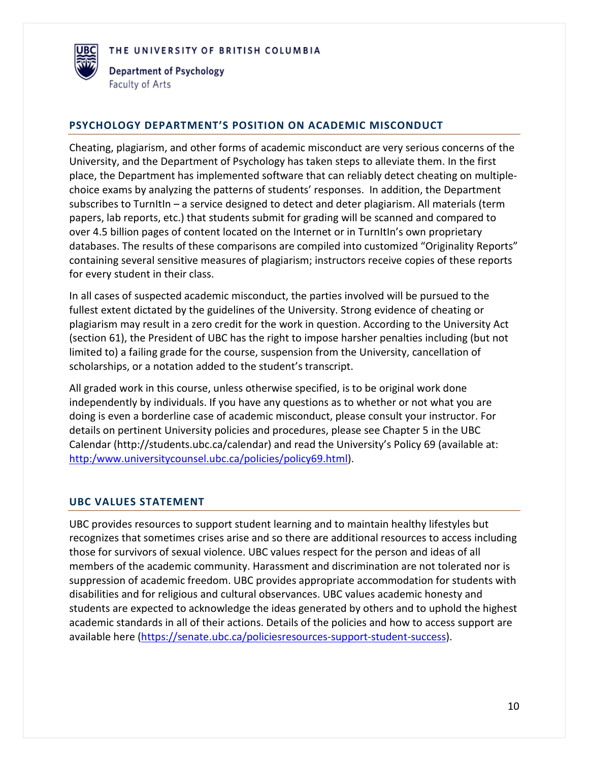

#### **PSYCHOLOGY DEPARTMENT'S POSITION ON ACADEMIC MISCONDUCT**

Cheating, plagiarism, and other forms of academic misconduct are very serious concerns of the University, and the Department of Psychology has taken steps to alleviate them. In the first place, the Department has implemented software that can reliably detect cheating on multiplechoice exams by analyzing the patterns of students' responses. In addition, the Department subscribes to TurnItIn – a service designed to detect and deter plagiarism. All materials (term papers, lab reports, etc.) that students submit for grading will be scanned and compared to over 4.5 billion pages of content located on the Internet or in TurnItIn's own proprietary databases. The results of these comparisons are compiled into customized "Originality Reports" containing several sensitive measures of plagiarism; instructors receive copies of these reports for every student in their class.

In all cases of suspected academic misconduct, the parties involved will be pursued to the fullest extent dictated by the guidelines of the University. Strong evidence of cheating or plagiarism may result in a zero credit for the work in question. According to the University Act (section 61), the President of UBC has the right to impose harsher penalties including (but not limited to) a failing grade for the course, suspension from the University, cancellation of scholarships, or a notation added to the student's transcript.

All graded work in this course, unless otherwise specified, is to be original work done independently by individuals. If you have any questions as to whether or not what you are doing is even a borderline case of academic misconduct, please consult your instructor. For details on pertinent University policies and procedures, please see Chapter 5 in the UBC Calendar (http://students.ubc.ca/calendar) and read the University's Policy 69 (available at: [http:/www.universitycounsel.ubc.ca/policies/policy69.html\)](http://www.universitycounsel.ubc.ca/policies/policy69.html).

### **UBC VALUES STATEMENT**

UBC provides resources to support student learning and to maintain healthy lifestyles but recognizes that sometimes crises arise and so there are additional resources to access including those for survivors of sexual violence. UBC values respect for the person and ideas of all members of the academic community. Harassment and discrimination are not tolerated nor is suppression of academic freedom. UBC provides appropriate accommodation for students with disabilities and for religious and cultural observances. UBC values academic honesty and students are expected to acknowledge the ideas generated by others and to uphold the highest academic standards in all of their actions. Details of the policies and how to access support are available here [\(https://senate.ubc.ca/policiesresources-support-student-success\)](https://senate.ubc.ca/policiesresources-support-student-success).